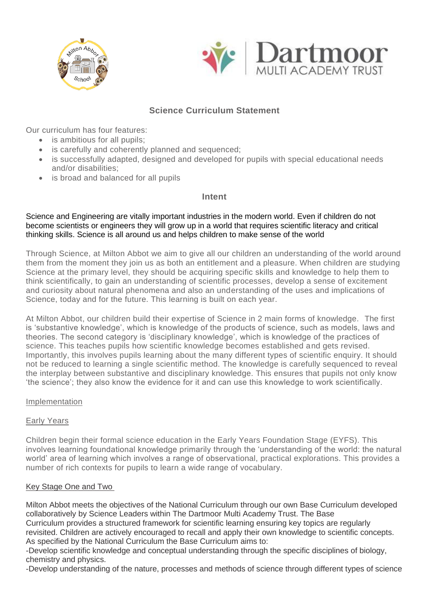



# **Science Curriculum Statement**

Our curriculum has four features:

- is ambitious for all pupils:
- is carefully and coherently planned and sequenced;
- is successfully adapted, designed and developed for pupils with special educational needs and/or disabilities;
- is broad and balanced for all pupils

# **Intent**

Science and Engineering are vitally important industries in the modern world. Even if children do not become scientists or engineers they will grow up in a world that requires scientific literacy and critical thinking skills. Science is all around us and helps children to make sense of the world

Through Science, at Milton Abbot we aim to give all our children an understanding of the world around them from the moment they join us as both an entitlement and a pleasure. When children are studying Science at the primary level, they should be acquiring specific skills and knowledge to help them to think scientifically, to gain an understanding of scientific processes, develop a sense of excitement and curiosity about natural phenomena and also an understanding of the uses and implications of Science, today and for the future. This learning is built on each year.

At Milton Abbot, our children build their expertise of Science in 2 main forms of knowledge. The first is 'substantive knowledge', which is knowledge of the products of science, such as models, laws and theories. The second category is 'disciplinary knowledge', which is knowledge of the practices of science. This teaches pupils how scientific knowledge becomes established and gets revised. Importantly, this involves pupils learning about the many different types of scientific enquiry. It should not be reduced to learning a single scientific method. The knowledge is carefully sequenced to reveal the interplay between substantive and disciplinary knowledge. This ensures that pupils not only know 'the science'; they also know the evidence for it and can use this knowledge to work scientifically.

# Implementation

# Early Years

Children begin their formal science education in the Early Years Foundation Stage (EYFS). This involves learning foundational knowledge primarily through the 'understanding of the world: the natural world' area of learning which involves a range of observational, practical explorations. This provides a number of rich contexts for pupils to learn a wide range of vocabulary.

# Key Stage One and Two

Milton Abbot meets the objectives of the National Curriculum through our own Base Curriculum developed collaboratively by Science Leaders within The Dartmoor Multi Academy Trust. The Base Curriculum provides a structured framework for scientific learning ensuring key topics are regularly

revisited. Children are actively encouraged to recall and apply their own knowledge to scientific concepts. As specified by the National Curriculum the Base Curriculum aims to:

-Develop scientific knowledge and conceptual understanding through the specific disciplines of biology, chemistry and physics.

-Develop understanding of the nature, processes and methods of science through different types of science